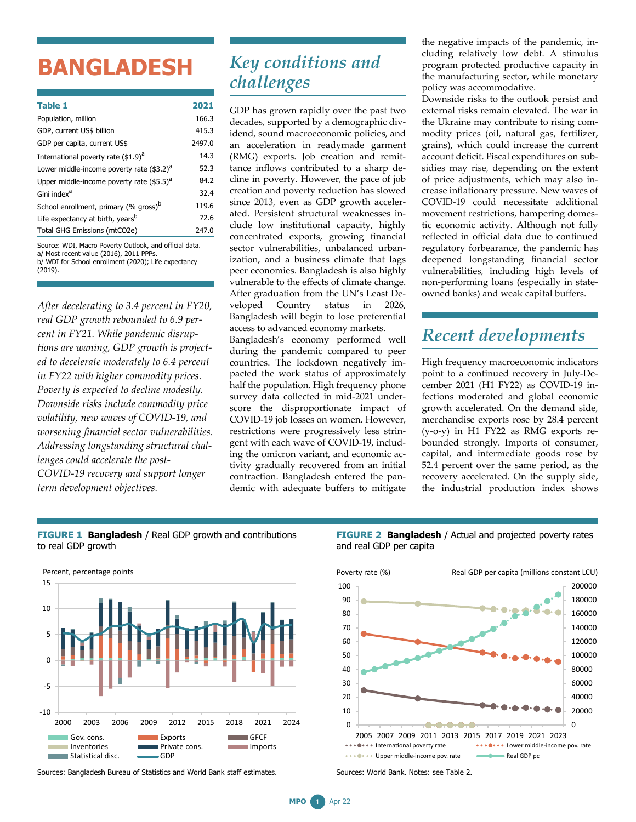## **BANGLADESH**

| <b>Table 1</b>                                           | 2021   |
|----------------------------------------------------------|--------|
| Population, million                                      | 166.3  |
| GDP, current US\$ billion                                | 415.3  |
| GDP per capita, current US\$                             | 2497.0 |
| International poverty rate (\$1.9) <sup>a</sup>          | 14.3   |
| Lower middle-income poverty rate (\$3.2) <sup>a</sup>    | 52.3   |
| Upper middle-income poverty rate $($ \$5.5) <sup>a</sup> | 84.2   |
| Gini index <sup>a</sup>                                  | 32.4   |
| School enrollment, primary (% gross) <sup>b</sup>        | 119.6  |
| Life expectancy at birth, years <sup>b</sup>             | 72.6   |
| Total GHG Emissions (mtCO2e)                             | 247.0  |
|                                                          |        |

Source: WDI, Macro Poverty Outlook, and official data. a/ Most recent value (2016), 2011 PPPs. b/ WDI for School enrollment (2020); Life expectancy (2019).

*After decelerating to 3.4 percent in FY20, real GDP growth rebounded to 6.9 percent in FY21. While pandemic disruptions are waning, GDP growth is projected to decelerate moderately to 6.4 percent in FY22 with higher commodity prices. Poverty is expected to decline modestly. Downside risks include commodity price volatility, new waves of COVID-19, and worsening financial sector vulnerabilities. Addressing longstanding structural challenges could accelerate the post-COVID-19 recovery and support longer term development objectives.*

## *Key conditions and challenges*

GDP has grown rapidly over the past two decades, supported by a demographic dividend, sound macroeconomic policies, and an acceleration in readymade garment (RMG) exports. Job creation and remittance inflows contributed to a sharp decline in poverty. However, the pace of job creation and poverty reduction has slowed since 2013, even as GDP growth accelerated. Persistent structural weaknesses include low institutional capacity, highly concentrated exports, growing financial sector vulnerabilities, unbalanced urbanization, and a business climate that lags peer economies. Bangladesh is also highly vulnerable to the effects of climate change. After graduation from the UN's Least Developed Country status in 2026, Bangladesh will begin to lose preferential access to advanced economy markets.

Bangladesh's economy performed well during the pandemic compared to peer countries. The lockdown negatively impacted the work status of approximately half the population. High frequency phone survey data collected in mid-2021 underscore the disproportionate impact of COVID-19 job losses on women. However, restrictions were progressively less stringent with each wave of COVID-19, including the omicron variant, and economic activity gradually recovered from an initial contraction. Bangladesh entered the pandemic with adequate buffers to mitigate the negative impacts of the pandemic, including relatively low debt. A stimulus program protected productive capacity in the manufacturing sector, while monetary policy was accommodative.

Downside risks to the outlook persist and external risks remain elevated. The war in the Ukraine may contribute to rising commodity prices (oil, natural gas, fertilizer, grains), which could increase the current account deficit. Fiscal expenditures on subsidies may rise, depending on the extent of price adjustments, which may also increase inflationary pressure. New waves of COVID-19 could necessitate additional movement restrictions, hampering domestic economic activity. Although not fully reflected in official data due to continued regulatory forbearance, the pandemic has deepened longstanding financial sector vulnerabilities, including high levels of non-performing loans (especially in stateowned banks) and weak capital buffers.

## *Recent developments*

High frequency macroeconomic indicators point to a continued recovery in July-December 2021 (H1 FY22) as COVID-19 infections moderated and global economic growth accelerated. On the demand side, merchandise exports rose by 28.4 percent (y-o-y) in H1 FY22 as RMG exports rebounded strongly. Imports of consumer, capital, and intermediate goods rose by 52.4 percent over the same period, as the recovery accelerated. On the supply side, the industrial production index shows

**FIGURE 1 Bangladesh** / Real GDP growth and contributions to real GDP growth



Sources: Bangladesh Bureau of Statistics and World Bank staff estimates.





Sources: World Bank. Notes: see Table 2.